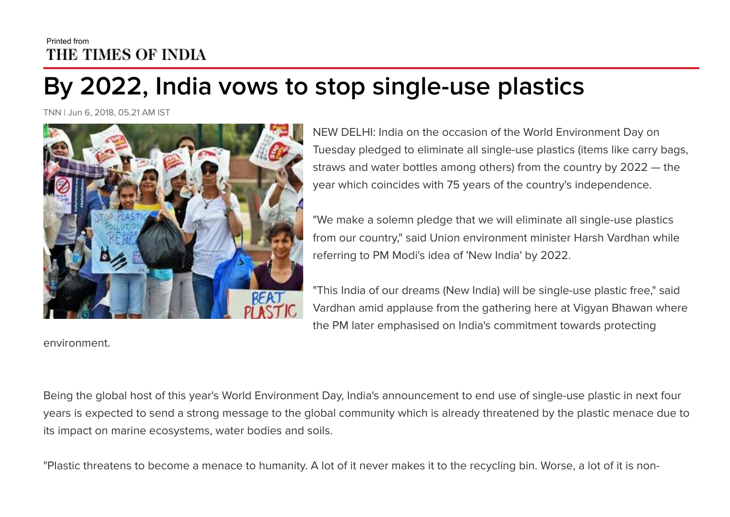## Printed from THE TIMES OF INDIA

## **By 2022, India vows to stop single-use plastics**

TNN | Jun 6, 2018, 05.21 AM IST



environment.

NEW DELHI: India on the occasion of the World Environment Day on Tuesday pledged to eliminate all single-use plastics (items like carry bags, straws and water bottles among others) from the country by 2022 — the year which coincides with 75 years of the country's independence.

"We make a solemn pledge that we will eliminate all single-use plastics from our country," said Union environment minister Harsh Vardhan while referring to PM Modi's idea of 'New India' by 2022.

"This India of our dreams (New India) will be single-use plastic free," said Vardhan amid applause from the gathering here at Vigyan Bhawan where the PM later emphasised on India's commitment towards protecting

Being the global host of this year's World Environment Day, India's announcement to end use of single-use plastic in next four years is expected to send a strong message to the global community which is already threatened by the plastic menace due to its impact on marine ecosystems, water bodies and soils.

"Plastic threatens to become a menace to humanity. A lot of it never makes it to the recycling bin. Worse, a lot of it is non-